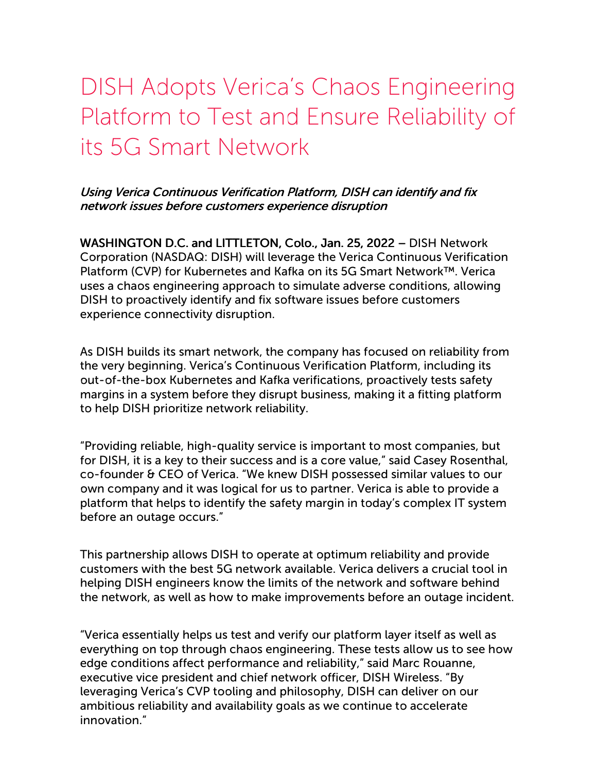## DISH Adopts Verica's Chaos Engineering Platform to Test and Ensure Reliability of its 5G Smart Network

## Using Verica Continuous Verification Platform, DISH can identify and fix network issues before customers experience disruption

WASHINGTON D.C. and LITTLETON, Colo., Jan. 25, 2022 – DISH Network Corporation (NASDAQ: DISH) will leverage the Verica Continuous Verification Platform (CVP) for Kubernetes and Kafka on its 5G Smart Network™. Verica uses a chaos engineering approach to simulate adverse conditions, allowing DISH to proactively identify and fix software issues before customers experience connectivity disruption.

As DISH builds its smart network, the company has focused on reliability from the very beginning. Verica's Continuous Verification Platform, including its out-of-the-box Kubernetes and Kafka verifications, proactively tests safety margins in a system before they disrupt business, making it a fitting platform to help DISH prioritize network reliability.

"Providing reliable, high-quality service is important to most companies, but for DISH, it is a key to their success and is a core value," said Casey Rosenthal, co-founder & CEO of Verica. "We knew DISH possessed similar values to our own company and it was logical for us to partner. Verica is able to provide a platform that helps to identify the safety margin in today's complex IT system before an outage occurs."

This partnership allows DISH to operate at optimum reliability and provide customers with the best 5G network available. Verica delivers a crucial tool in helping DISH engineers know the limits of the network and software behind the network, as well as how to make improvements before an outage incident.

"Verica essentially helps us test and verify our platform layer itself as well as everything on top through chaos engineering. These tests allow us to see how edge conditions affect performance and reliability," said Marc Rouanne, executive vice president and chief network officer, DISH Wireless. "By leveraging Verica's CVP tooling and philosophy, DISH can deliver on our ambitious reliability and availability goals as we continue to accelerate innovation."